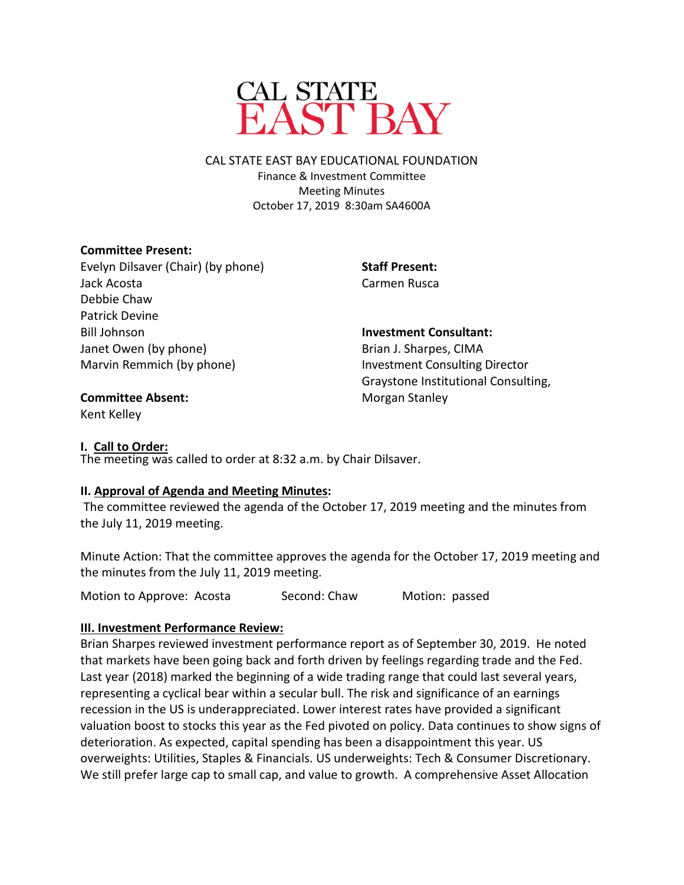

CAL STATE EAST BAY EDUCATIONAL FOUNDATION Finance & Investment Committee Meeting Minutes October 17, 2019 8:30am SA4600A

## **Committee Present:**

Evelyn Dilsaver (Chair) (by phone) Jack Acosta Debbie Chaw Patrick Devine Bill Johnson Janet Owen (by phone) Marvin Remmich (by phone)

**Staff Present:** Carmen Rusca

**Investment Consultant:**  Brian J. Sharpes, CIMA Investment Consulting Director Graystone Institutional Consulting, Morgan Stanley

#### **Committee Absent:**

Kent Kelley

### **I. Call to Order:**

The meeting was called to order at 8:32 a.m. by Chair Dilsaver.

### **II. Approval of Agenda and Meeting Minutes:**

The committee reviewed the agenda of the October 17, 2019 meeting and the minutes from the July 11, 2019 meeting.

Minute Action: That the committee approves the agenda for the October 17, 2019 meeting and the minutes from the July 11, 2019 meeting.

Motion to Approve: Acosta Second: Chaw Motion: passed

# **III. Investment Performance Review:**

Brian Sharpes reviewed investment performance report as of September 30, 2019. He noted that markets have been going back and forth driven by feelings regarding trade and the Fed. Last year (2018) marked the beginning of a wide trading range that could last several years, representing a cyclical bear within a secular bull. The risk and significance of an earnings recession in the US is underappreciated. Lower interest rates have provided a significant valuation boost to stocks this year as the Fed pivoted on policy. Data continues to show signs of deterioration. As expected, capital spending has been a disappointment this year. US overweights: Utilities, Staples & Financials. US underweights: Tech & Consumer Discretionary. We still prefer large cap to small cap, and value to growth. A comprehensive Asset Allocation